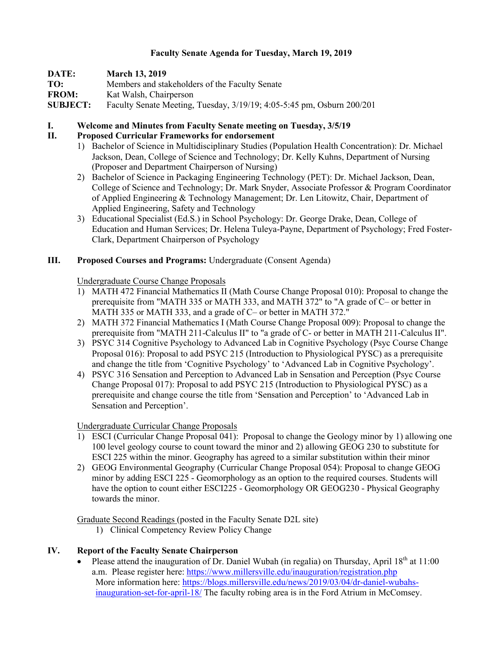### **Faculty Senate Agenda for Tuesday, March 19, 2019**

| DATE:           | <b>March 13, 2019</b>                                                  |
|-----------------|------------------------------------------------------------------------|
| TO:             | Members and stakeholders of the Faculty Senate                         |
| <b>FROM:</b>    | Kat Walsh, Chairperson                                                 |
| <b>SUBJECT:</b> | Faculty Senate Meeting, Tuesday, 3/19/19; 4:05-5:45 pm, Osburn 200/201 |

#### **I. Welcome and Minutes from Faculty Senate meeting on Tuesday, 3/5/19**

#### **II. Proposed Curricular Frameworks for endorsement**

- 1) Bachelor of Science in Multidisciplinary Studies (Population Health Concentration): Dr. Michael Jackson, Dean, College of Science and Technology; Dr. Kelly Kuhns, Department of Nursing (Proposer and Department Chairperson of Nursing)
- 2) Bachelor of Science in Packaging Engineering Technology (PET): Dr. Michael Jackson, Dean, College of Science and Technology; Dr. Mark Snyder, Associate Professor & Program Coordinator of Applied Engineering & Technology Management; Dr. Len Litowitz, Chair, Department of Applied Engineering, Safety and Technology
- 3) Educational Specialist (Ed.S.) in School Psychology: Dr. George Drake, Dean, College of Education and Human Services; Dr. Helena Tuleya-Payne, Department of Psychology; Fred Foster-Clark, Department Chairperson of Psychology

#### **III. Proposed Courses and Programs:** Undergraduate (Consent Agenda)

#### Undergraduate Course Change Proposals

- 1) MATH 472 Financial Mathematics II (Math Course Change Proposal 010): Proposal to change the prerequisite from "MATH 335 or MATH 333, and MATH 372" to "A grade of C– or better in MATH 335 or MATH 333, and a grade of C– or better in MATH 372."
- 2) MATH 372 Financial Mathematics I (Math Course Change Proposal 009): Proposal to change the prerequisite from "MATH 211-Calculus II" to "a grade of C- or better in MATH 211-Calculus II".
- 3) PSYC 314 Cognitive Psychology to Advanced Lab in Cognitive Psychology (Psyc Course Change Proposal 016): Proposal to add PSYC 215 (Introduction to Physiological PYSC) as a prerequisite and change the title from 'Cognitive Psychology' to 'Advanced Lab in Cognitive Psychology'.
- 4) PSYC 316 Sensation and Perception to Advanced Lab in Sensation and Perception (Psyc Course Change Proposal 017): Proposal to add PSYC 215 (Introduction to Physiological PYSC) as a prerequisite and change course the title from 'Sensation and Perception' to 'Advanced Lab in Sensation and Perception'.

## Undergraduate Curricular Change Proposals

- 1) ESCI (Curricular Change Proposal 041): Proposal to change the Geology minor by 1) allowing one 100 level geology course to count toward the minor and 2) allowing GEOG 230 to substitute for ESCI 225 within the minor. Geography has agreed to a similar substitution within their minor
- 2) GEOG Environmental Geography (Curricular Change Proposal 054): Proposal to change GEOG minor by adding ESCI 225 - Geomorphology as an option to the required courses. Students will have the option to count either ESCI225 - Geomorphology OR GEOG230 - Physical Geography towards the minor.

Graduate Second Readings (posted in the Faculty Senate D2L site)

1) Clinical Competency Review Policy Change

## **IV. Report of the Faculty Senate Chairperson**

Please attend the inauguration of Dr. Daniel Wubah (in regalia) on Thursday, April  $18<sup>th</sup>$  at  $11:00$ a.m. Please register here: https://www.millersville.edu/inauguration/registration.php More information here: https://blogs.millersville.edu/news/2019/03/04/dr-daniel-wubahsinauguration-set-for-april-18/ The faculty robing area is in the Ford Atrium in McComsey.